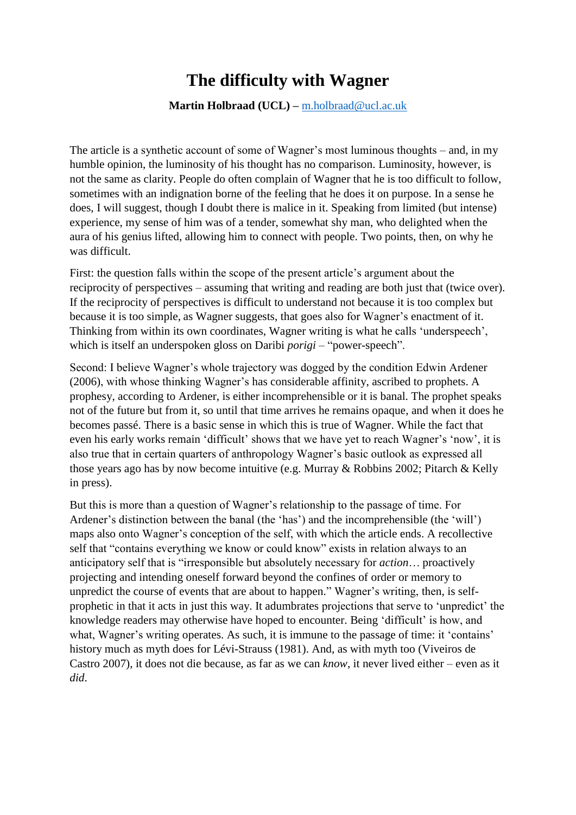## **The difficulty with Wagner**

**Martin Holbraad (UCL) –** [m.holbraad@ucl.ac.uk](mailto:m.holbraad@ucl.ac.uk)

The article is a synthetic account of some of Wagner's most luminous thoughts – and, in my humble opinion, the luminosity of his thought has no comparison. Luminosity, however, is not the same as clarity. People do often complain of Wagner that he is too difficult to follow, sometimes with an indignation borne of the feeling that he does it on purpose. In a sense he does, I will suggest, though I doubt there is malice in it. Speaking from limited (but intense) experience, my sense of him was of a tender, somewhat shy man, who delighted when the aura of his genius lifted, allowing him to connect with people. Two points, then, on why he was difficult.

First: the question falls within the scope of the present article's argument about the reciprocity of perspectives – assuming that writing and reading are both just that (twice over). If the reciprocity of perspectives is difficult to understand not because it is too complex but because it is too simple, as Wagner suggests, that goes also for Wagner's enactment of it. Thinking from within its own coordinates, Wagner writing is what he calls 'underspeech', which is itself an underspoken gloss on Daribi *porigi* – "power-speech".

Second: I believe Wagner's whole trajectory was dogged by the condition Edwin Ardener (2006), with whose thinking Wagner's has considerable affinity, ascribed to prophets. A prophesy, according to Ardener, is either incomprehensible or it is banal. The prophet speaks not of the future but from it, so until that time arrives he remains opaque, and when it does he becomes passé. There is a basic sense in which this is true of Wagner. While the fact that even his early works remain 'difficult' shows that we have yet to reach Wagner's 'now', it is also true that in certain quarters of anthropology Wagner's basic outlook as expressed all those years ago has by now become intuitive (e.g. Murray & Robbins 2002; Pitarch & Kelly in press).

But this is more than a question of Wagner's relationship to the passage of time. For Ardener's distinction between the banal (the 'has') and the incomprehensible (the 'will') maps also onto Wagner's conception of the self, with which the article ends. A recollective self that "contains everything we know or could know" exists in relation always to an anticipatory self that is "irresponsible but absolutely necessary for *action*… proactively projecting and intending oneself forward beyond the confines of order or memory to unpredict the course of events that are about to happen." Wagner's writing, then, is selfprophetic in that it acts in just this way. It adumbrates projections that serve to 'unpredict' the knowledge readers may otherwise have hoped to encounter. Being 'difficult' is how, and what, Wagner's writing operates. As such, it is immune to the passage of time: it 'contains' history much as myth does for Lévi-Strauss (1981). And, as with myth too (Viveiros de Castro 2007), it does not die because, as far as we can *know*, it never lived either – even as it *did*.